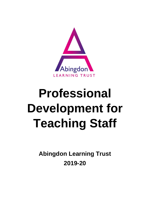

# **Professional Development for Teaching Staff**

**Abingdon Learning Trust 2019-20**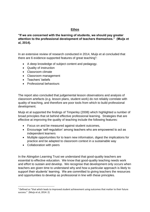## **Ethos**

**"If we are concerned with the learning of students, we should pay greater attention to the professional development of teachers themselves." (Muijs et al, 2014).**

In an extensive review of research conducted in 2014, Muijs et al concluded that there are 6 evidence-supported features of great teaching<sup>1</sup>:

- A deep knowledge of subject content and pedagogy.
- Quality of instruction
- Classroom climate
- Classroom management
- Teachers' beliefs
- Professional behaviours

The report also concluded that judgemental lesson observations and analysis of classroom artefacts (e.g. lesson plans, student work) do not reliably correlate with quality of teaching, and therefore are poor tools from which to build professional development.

Muijs et al supported the findings of Timperley (2008) which highlighted a number of broad principles that sit behind effective professional learning. Strategies that are effective at improving the quality of teaching include the following features:

- Focus on and be measured against student outcomes,
- Encourage 'self-regulation' among teachers who are empowered to act as independent learners
- Multiple opportunities for to learn new information, digest the implications for practice and be adapted to classroom context in a sustainable way
- Collaboration with peers

**.** 

In the Abingdon Learning Trust we understand that good-quality teachers are essential to effective education. We know that good-quality teaching needs work and effort to sustain and develop. We recognise that development only occurs when teachers are given time to understand why and how a particular approach is likely to support their students' learning. We are committed to giving teachers the resources and opportunities to develop as professional in line with these principles.

<sup>&</sup>lt;sup>1</sup> Defined as "that which leads to improved student achievement using outcomes that matter to their future success." (Muijs et al, 2014: 2)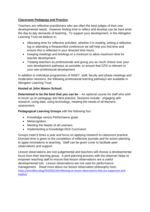# **Classroom Pedagogy and Practice**

Teachers are reflective practitioners who are often the best judges of their own developmental needs. However finding time to reflect and develop can be hard amid the day-to-day demands of teaching. To support your development, in the Abingdon Learning Trust we believe in:

- Allocating time for reflective activities: whether it is reading, writing a reflective log or attending a ResearchEd conference we will help you find time and ensure this is reflected in your directed time hours.
- Keeping meetings and briefings to a minimum to allow maximum time for teacher development.
- Treating teachers as professionals and giving you as much choice over your own development pathways as possible, to ensure that CPD is relevant to your own professional development.

In addition to individual programmes of INSET, staff, faculty and phase meetings and moderation sessions, the following professional learning pathways are available in Abingdon Learning Trust:

#### **Hosted at John Mason School:**

**Determined to be the best that you can be** – An optional course for staff who wish to brush up on pedagogy and best practice. Sessions include: engaging with research, using data, using technology, meeting the needs of all learners, assessment.

**Pedagogical Learning Groups** with the following foci:

- Knowledge versus Performance goals
- Metacognition
- Meeting the Needs of all Learners
- Implementing a Knowledge-Rich Curriculum

Groups meet 6 times a year and focus on applying research to classroom practice. Directed time is given to the completion of reflective journals and for action planning to apply innovations to teaching. Staff can be given cover to facilitate peer observations and support.

Lesson observations are non-judgemental and teachers will choose a developmental focus from their learning group. A joint planning process with the observer helps to empower teaching staff to ensure that lesson observations are a useful developmental tool. Lesson observations are not used for performance management. Read more about our lesson observation philosophy here: [https://jmsreflect.blog/2019/02/24/reflecting-on-lesson-observations-that-are-supportive-and](https://jmsreflect.blog/2019/02/24/reflecting-on-lesson-observations-that-are-supportive-and-helpful/)[helpful/](https://jmsreflect.blog/2019/02/24/reflecting-on-lesson-observations-that-are-supportive-and-helpful/)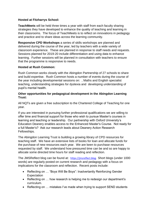## **Hosted at Fitzharrys School:**

**TeachMeets** will be held three times a year with staff from each faculty sharing strategies they have developed to enhance the quality of teaching and learning in their classrooms. The focus of TeachMeets is to reflect on innovations in pedagogy and practice and to share ideas across the learning community.

**Responsive CPD Workshops** a series of skills workshops are planned and delivered during the course of the year, led by teachers with a wide variety of classroom experience. These are planned in response to staff needs and requests. Sessions planned for 2019-20 include differentiation and using data to enhance learning. Further sessions will be planned in consultation with teachers to ensure that the programme is responsive to needs.

## **Hosted at Rush Common:**

Rush Common works closely with the Abingdon Partnership of 27 schools to share and build expertise. Rush Common hosts a number of events during the course of the year including developmental sessions on: , Maths and English specialist teaching, understanding strategies for dyslexia and developing understanding of pupil's mental health.

#### **Other opportunities for pedagogical development in the Abingdon Learning Trust:**

All NQTs are given a free subscription to the Chartered College of Teaching for one year.

If you are interested in pursuing further professional qualifications we are willing to offer time and financial support for those who wish to pursue Master's courses in learning and teaching or leadership. Our partnership with Oxford University's Education Deanery enables access to the Enhanced Master's Course. Not ready for a full Master's? Ask our research leads about Deanery Action Research Fellowships.

The Abingdon Learning Trust is building a growing library of CPD resources for teaching staff. We have an extensive lists of books for loan and allocate funds for the purchase of new resources each year. We are keen to purchase resources requested by staff. We understand how pressured time can be and so are happy to allocate some directed time hours for staff reading and reflection.

The JMSReflect blog can be found at: [https://jmsreflect.blog.](https://jmsreflect.blog/) Short blogs (under 1000 words) are regularly posted on current research and pedagogy with a focus on implications for the classroom and reflection. Recent posts include:

- Reflecting on ... "Boys Will Be Boys": Inadvertantly Reinforcing Gender **Expectation**
- Reflecting on ... how research is helping me to redesign our department's curriculum.
- Reflecting on ... mistakes I've made when trying to support SEND students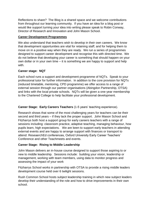Reflections to share? The Blog is a shared space and we welcome contributions from throughout our learning community. If you have an idea for a blog post or would like support turning your idea into writing please speak to Robin Conway, Director of Research and Innovation and John Mason School.

## **Career Development Programmes**

We also understand that teachers wish to develop in their own careers. We know that development opportunities are vital for retaining staff; and for helping them to move on in a positive way when they are ready. We run a series of programmes designed to support career development and recognise this with directed time. We do not believe that developing your career is something that should happen on your own dollar or in your own time – it is something we are happy to support and help with.

## **Career stage: NQT**

Each school runs a support and development programme of NQTs. Speak to your professional tutor for further information. In addition to the core provision for NQTs (reduced timetable, mentoring, CPD programme) we offer access to a range of external session through our partner organisations (Abingdon Partnership, OTSA) and links with the local private schools. NQTs will be given a one-year membership to the Chartered College to help facilitate your professional development.

# **Career Stage: Early Careers Teachers** (1-5 years' teaching experience).

Research shows that some of the most challenging years for teachers can be their second and third years – if they lack the proper support. John Mason School and Fitzharrys both host a support group for early careers teachers with a range of sessions including: classroom practice, adaptive teaching, managing behaviour, how pupils learn, high expectations. We are keen to support early teachers in attending external events and are happy to arrange support with finances or transport to attend: ReseaerchEd conferences, Oxford University Early Career Teachers' Conference and other Teachmeets and events.

# **Career Stage: Rising to Middle Leadership**

John Mason delivers an in-house course designed to support those aspiring to or new to middle leadership. Sessions include: building your vision, leadership or management, working with team members, using data to monitor progress and assessing the impact of your work

Fitzharrys School works in partnership with OTSA to provide a rising middle leaders development course held over 6 twilight sessions.

Rush Common School hosts subject leadership training in which new subject leaders develop their understanding of the role and how to drive improvements in their own school.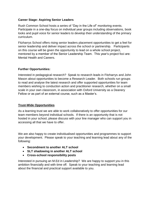## **Career Stage: Aspiring Senior Leaders**

Rush Common School hosts a series of "Day in the Life of" monitoring events. Participate in a one-day focus on individual year groups including observations, book looks and pupil voice for senior leaders to develop their understanding of the primary curriculum.

Fitzharrys School offers rising senior leaders placement opportunities to get a feel for senior leadership and deliver impact across the school or partnership. Participants on this course will be given the opportunity to lead on a whole school project, mentored by a member of the Senior Leadership Team. This year's project foci are: Mental Health and Careers.

## **Further Opportunities:**

Interested in pedagogical research? Speak to research leads in Fitzharrys and John Mason about opportunities to become a Research Leader. Both schools run groups to read and analyse the latest research and offer supported opportunities for team members wishing to conduction action and practitioner research, whether on a small scale in your own classroom, in association with Oxford University as a Deanery Fellow or as part of an external course, such as a Master's.

## **Trust-Wide Opportunities**

As a learning trust we are able to work collaboratively to offer opportunities for our team members beyond individual schools. If there is an opportunity that is not hosted in your school, please discuss with your line manager who can support you in accessing all that we have to offer.

We are also happy to create individualised opportunities and programmes to support your development. Please speak to your teaching and learning lead about any of the following:

- **Secondment to another ALT school**
- **SLT shadowing in another ALT school**
- **Cross-school responsibility posts**

Interested in pursuing an M.Ed in Leadership? We are happy to support you in this ambition financially and with time off. Speak to your teaching and learning lead about the financial and practical support available to you.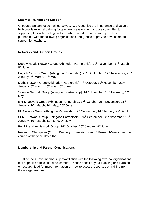#### **External Training and Support**

Of course we cannot do it all ourselves. We recognise the importance and value of high quality external training for teachers' development and are committed to supporting this with funding and time where needed. We currently work in partnership with the following organisations and groups to provide developmental support for teachers:

#### **Networks and Support Groups**

Deputy Heads Network Group (Abingdon Partnership): 20<sup>th</sup> November, 17<sup>th</sup> March, 9<sup>th</sup> June.

English Network Group (Abingdon Partnership): 25<sup>th</sup> September, 12<sup>th</sup> November, 27<sup>th</sup> January, 6<sup>th</sup> March, 13<sup>th</sup> May.

Maths Network Group (Abingdon Partnership): 7<sup>th</sup> October, 19<sup>th</sup> November, 22<sup>nd</sup> January, 5<sup>th</sup> March, 18<sup>th</sup> May, 25<sup>th</sup> June.

Science Network Group (Abingdon Partnership): 14<sup>th</sup> November, 13<sup>th</sup> February, 14<sup>th</sup> May.

EYFS Network Group (Abingdon Partnership): 17<sup>th</sup> October, 26<sup>th</sup> November, 23<sup>rd</sup> January, 10<sup>th</sup> March, 14<sup>th</sup> May, 16<sup>th</sup> June

PE Network Group (Abingdon Partnership): 9<sup>th</sup> September, 14<sup>th</sup> January, 27<sup>th</sup> April.

SEND Network Group (Abingdon Partnership): 26<sup>th</sup> September, 28<sup>th</sup> November, 16<sup>th</sup> January, 19<sup>th</sup> March, 11<sup>th</sup> June, 2<sup>nd</sup> July

Pupil Premium Network Group: 14<sup>th</sup> October, 20<sup>th</sup> January, 8<sup>th</sup> June.

Research Champions (Oxford Deanery): 4 meetings and 2 ResearchMeets over the course of the year, dates tbc.

## **Membership and Partner Organisations**

Trust schools have membership of/affiliation with the following external organisations that support professional development. Please speak to your teaching and learning or research lead for more information on how to access resources or training from these organisations: